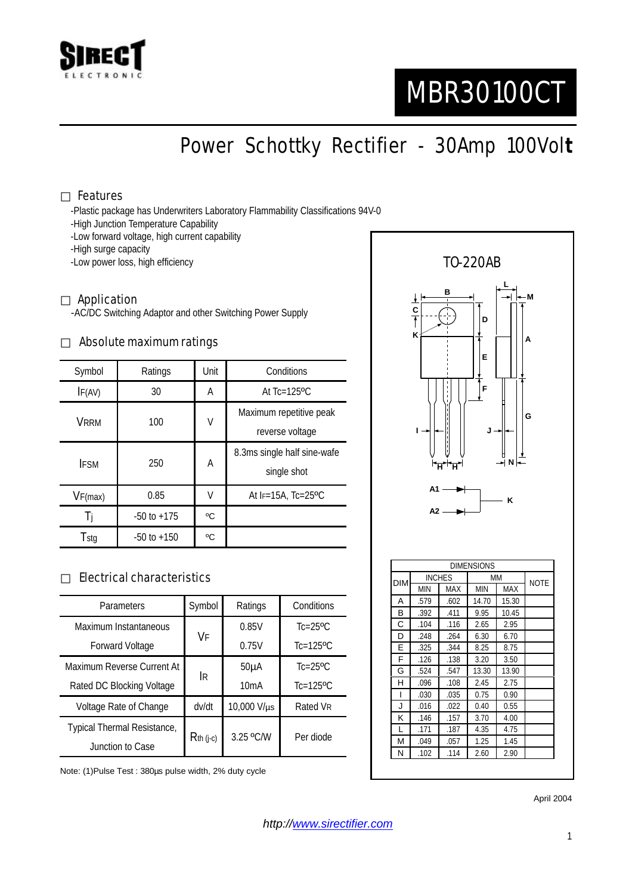

# MBR30100CT

Power Schottky Rectifier - 30Amp 100Vol**t**

## Features

-Plastic package has Underwriters Laboratory Flammability Classifications 94V-0

- -High Junction Temperature Capability
- -Low forward voltage, high current capability
- -High surge capacity
- -Low power loss, high efficiency

#### Application

-AC/DC Switching Adaptor and other Switching Power Supply

#### Absolute maximum ratings

| Symbol      | Ratings         | Unit | Conditions                                 |  |
|-------------|-----------------|------|--------------------------------------------|--|
| IF(AV)      | 30              | A    | At $Tc=125$ <sup>o</sup> $C$               |  |
| <b>VRRM</b> | 100             | V    | Maximum repetitive peak<br>reverse voltage |  |
| <b>IFSM</b> | 250             | A    | 8.3ms single half sine-wafe<br>single shot |  |
| VF(max)     | 0.85            | V    | At IF=15A, Tc=25°C                         |  |
|             | $-50$ to $+175$ | °C   |                                            |  |
| Tstg        | $-50$ to $+150$ | °C   |                                            |  |

## Electrical characteristics

| Parameters                  | Symbol       | Ratings     | Conditions                |
|-----------------------------|--------------|-------------|---------------------------|
| Maximum Instantaneous       | VF           | 0.85V       | $Tc=25$ <sup>o</sup> $C$  |
| Forward Voltage             |              | 0.75V       | $Tc=125$ <sup>o</sup> $C$ |
| Maximum Reverse Current At  |              | $50\muA$    | $Tc=25$ <sup>o</sup> $C$  |
| Rated DC Blocking Voltage   | IR.          | 10mA        | $Tc=125$ <sup>o</sup> $C$ |
| Voltage Rate of Change      | dv/dt        | 10,000 V/µs | Rated VR                  |
| Typical Thermal Resistance, | $R$ th (j-c) | 3.25 °C/W   | Per diode                 |
| Junction to Case            |              |             |                           |

Note: (1)Pulse Test : 380µs pulse width, 2% duty cycle



April 2004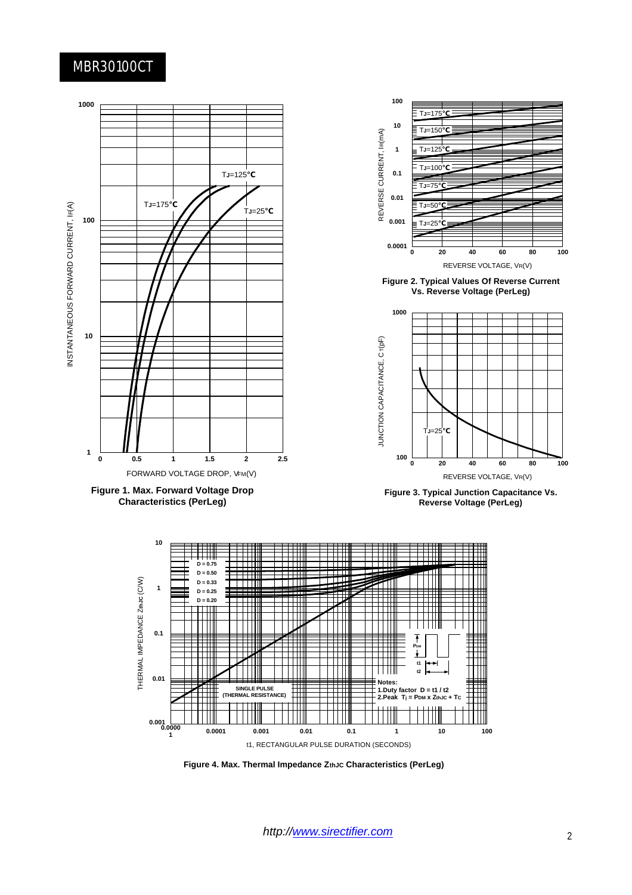## MBR30100CT



**Figure 4. Max. Thermal Impedance ZthJC Characteristics (PerLeg)**